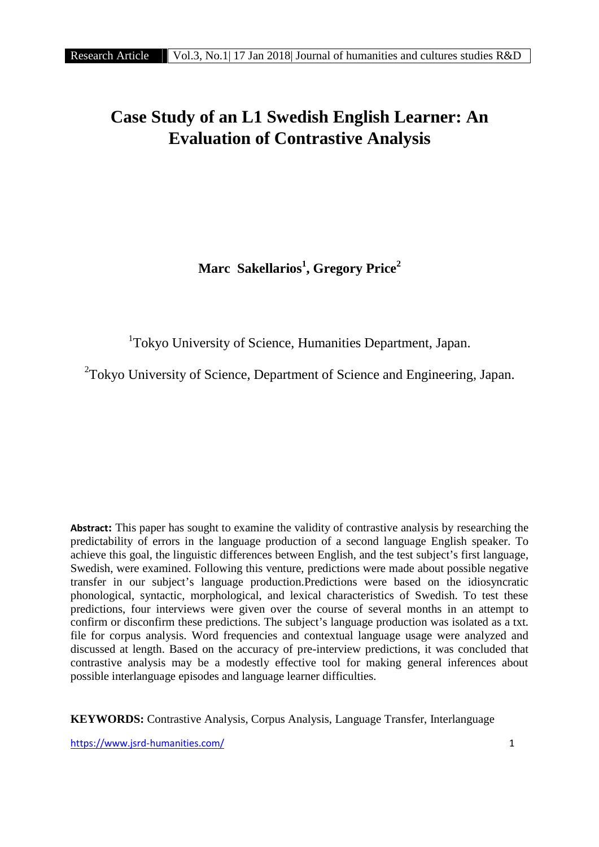# **Case Study of an L1 Swedish English Learner: An Evaluation of Contrastive Analysis**

**Marc Sakellarios<sup>1</sup> , Gregory Price<sup>2</sup>**

<sup>1</sup>Tokyo University of Science, Humanities Department, Japan.

<sup>2</sup>Tokyo University of Science, Department of Science and Engineering, Japan.

**Abstract:** This paper has sought to examine the validity of contrastive analysis by researching the predictability of errors in the language production of a second language English speaker. To achieve this goal, the linguistic differences between English, and the test subject's first language, Swedish, were examined. Following this venture, predictions were made about possible negative transfer in our subject's language production.Predictions were based on the idiosyncratic phonological, syntactic, morphological, and lexical characteristics of Swedish. To test these predictions, four interviews were given over the course of several months in an attempt to confirm or disconfirm these predictions. The subject's language production was isolated as a txt. file for corpus analysis. Word frequencies and contextual language usage were analyzed and discussed at length. Based on the accuracy of pre-interview predictions, it was concluded that contrastive analysis may be a modestly effective tool for making general inferences about possible interlanguage episodes and language learner difficulties.

**KEYWORDS:** Contrastive Analysis, Corpus Analysis, Language Transfer, Interlanguage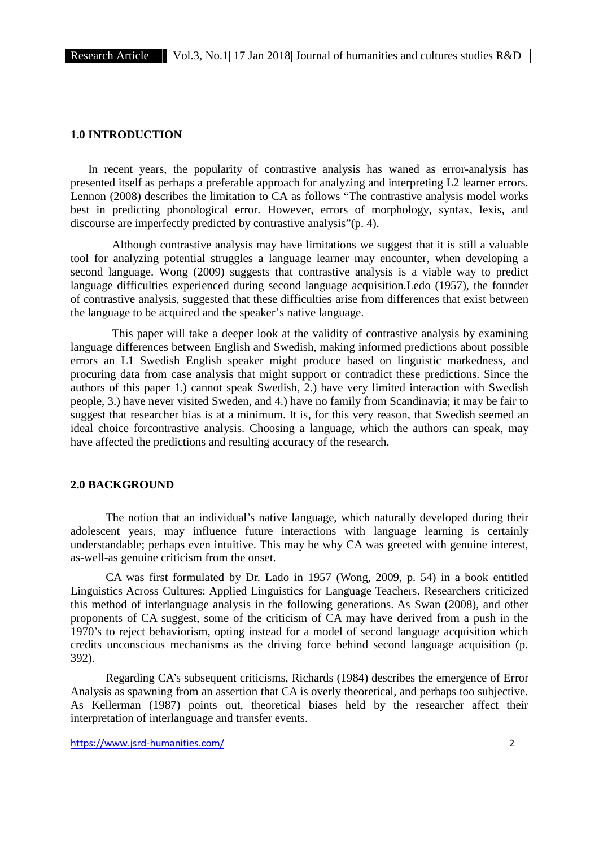#### **1.0 INTRODUCTION**

In recent years, the popularity of contrastive analysis has waned as error-analysis has presented itself as perhaps a preferable approach for analyzing and interpreting L2 learner errors. Lennon (2008) describes the limitation to CA as follows "The contrastive analysis model works best in predicting phonological error. However, errors of morphology, syntax, lexis, and discourse are imperfectly predicted by contrastive analysis"(p. 4).

Although contrastive analysis may have limitations we suggest that it is still a valuable tool for analyzing potential struggles a language learner may encounter, when developing a second language. Wong (2009) suggests that contrastive analysis is a viable way to predict language difficulties experienced during second language acquisition.Ledo (1957), the founder of contrastive analysis, suggested that these difficulties arise from differences that exist between the language to be acquired and the speaker's native language.

This paper will take a deeper look at the validity of contrastive analysis by examining language differences between English and Swedish, making informed predictions about possible errors an L1 Swedish English speaker might produce based on linguistic markedness, and procuring data from case analysis that might support or contradict these predictions. Since the authors of this paper 1.) cannot speak Swedish, 2.) have very limited interaction with Swedish people, 3.) have never visited Sweden, and 4.) have no family from Scandinavia; it may be fair to suggest that researcher bias is at a minimum. It is, for this very reason, that Swedish seemed an ideal choice forcontrastive analysis. Choosing a language, which the authors can speak, may have affected the predictions and resulting accuracy of the research.

# **2.0 BACKGROUND**

The notion that an individual's native language, which naturally developed during their adolescent years, may influence future interactions with language learning is certainly understandable; perhaps even intuitive. This may be why CA was greeted with genuine interest, as-well-as genuine criticism from the onset.

CA was first formulated by Dr. Lado in 1957 (Wong, 2009, p. 54) in a book entitled Linguistics Across Cultures: Applied Linguistics for Language Teachers. Researchers criticized this method of interlanguage analysis in the following generations. As Swan (2008), and other proponents of CA suggest, some of the criticism of CA may have derived from a push in the 1970's to reject behaviorism, opting instead for a model of second language acquisition which credits unconscious mechanisms as the driving force behind second language acquisition (p. 392).

Regarding CA's subsequent criticisms, Richards (1984) describes the emergence of Error Analysis as spawning from an assertion that CA is overly theoretical, and perhaps too subjective. As Kellerman (1987) points out, theoretical biases held by the researcher affect their interpretation of interlanguage and transfer events.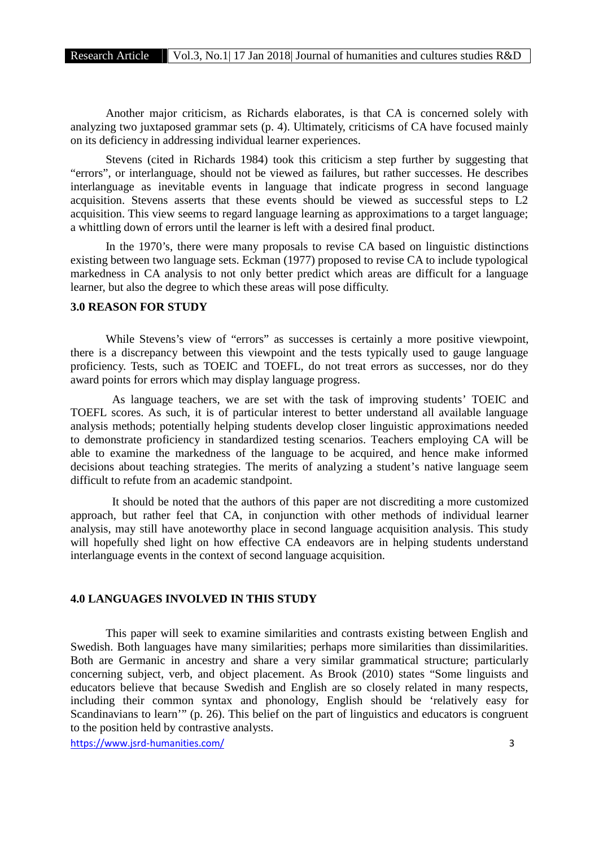Another major criticism, as Richards elaborates, is that CA is concerned solely with analyzing two juxtaposed grammar sets (p. 4). Ultimately, criticisms of CA have focused mainly on its deficiency in addressing individual learner experiences.

Stevens (cited in Richards 1984) took this criticism a step further by suggesting that "errors", or interlanguage, should not be viewed as failures, but rather successes. He describes interlanguage as inevitable events in language that indicate progress in second language acquisition. Stevens asserts that these events should be viewed as successful steps to L2 acquisition. This view seems to regard language learning as approximations to a target language; a whittling down of errors until the learner is left with a desired final product.

In the 1970's, there were many proposals to revise CA based on linguistic distinctions existing between two language sets. Eckman (1977) proposed to revise CA to include typological markedness in CA analysis to not only better predict which areas are difficult for a language learner, but also the degree to which these areas will pose difficulty.

# **3.0 REASON FOR STUDY**

While Stevens's view of "errors" as successes is certainly a more positive viewpoint, there is a discrepancy between this viewpoint and the tests typically used to gauge language proficiency. Tests, such as TOEIC and TOEFL, do not treat errors as successes, nor do they award points for errors which may display language progress.

As language teachers, we are set with the task of improving students' TOEIC and TOEFL scores. As such, it is of particular interest to better understand all available language analysis methods; potentially helping students develop closer linguistic approximations needed to demonstrate proficiency in standardized testing scenarios. Teachers employing CA will be able to examine the markedness of the language to be acquired, and hence make informed decisions about teaching strategies. The merits of analyzing a student's native language seem difficult to refute from an academic standpoint.

It should be noted that the authors of this paper are not discrediting a more customized approach, but rather feel that CA, in conjunction with other methods of individual learner analysis, may still have anoteworthy place in second language acquisition analysis. This study will hopefully shed light on how effective CA endeavors are in helping students understand interlanguage events in the context of second language acquisition.

# **4.0 LANGUAGES INVOLVED IN THIS STUDY**

This paper will seek to examine similarities and contrasts existing between English and Swedish. Both languages have many similarities; perhaps more similarities than dissimilarities. Both are Germanic in ancestry and share a very similar grammatical structure; particularly concerning subject, verb, and object placement. As Brook (2010) states "Some linguists and educators believe that because Swedish and English are so closely related in many respects, including their common syntax and phonology, English should be 'relatively easy for Scandinavians to learn'" (p. 26). This belief on the part of linguistics and educators is congruent to the position held by contrastive analysts.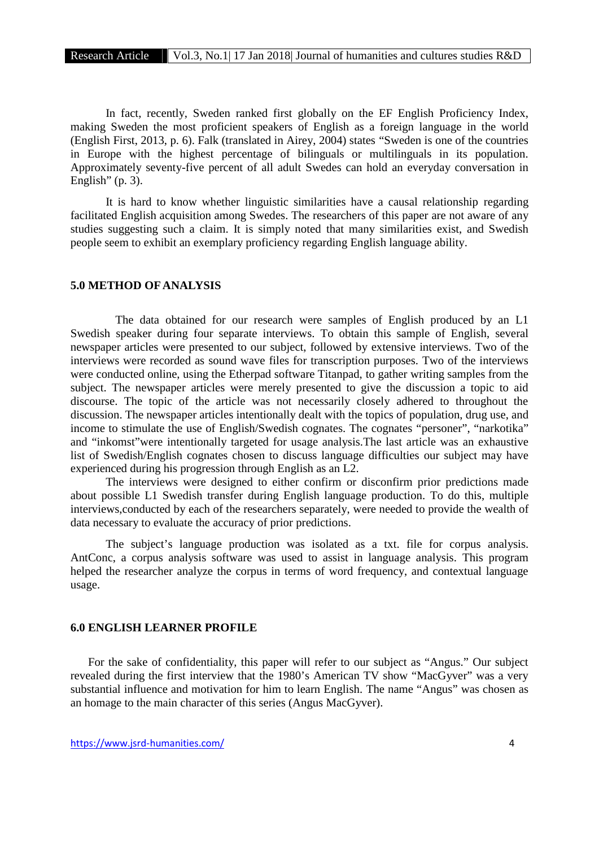In fact, recently, Sweden ranked first globally on the EF English Proficiency Index, making Sweden the most proficient speakers of English as a foreign language in the world (English First, 2013, p. 6). Falk (translated in Airey, 2004) states "Sweden is one of the countries in Europe with the highest percentage of bilinguals or multilinguals in its population. Approximately seventy-five percent of all adult Swedes can hold an everyday conversation in English"  $(p. 3)$ .

It is hard to know whether linguistic similarities have a causal relationship regarding facilitated English acquisition among Swedes. The researchers of this paper are not aware of any studies suggesting such a claim. It is simply noted that many similarities exist, and Swedish people seem to exhibit an exemplary proficiency regarding English language ability.

# **5.0 METHOD OF ANALYSIS**

The data obtained for our research were samples of English produced by an L1 Swedish speaker during four separate interviews. To obtain this sample of English, several newspaper articles were presented to our subject, followed by extensive interviews. Two of the interviews were recorded as sound wave files for transcription purposes. Two of the interviews were conducted online, using the Etherpad software Titanpad, to gather writing samples from the subject. The newspaper articles were merely presented to give the discussion a topic to aid discourse. The topic of the article was not necessarily closely adhered to throughout the discussion. The newspaper articles intentionally dealt with the topics of population, drug use, and income to stimulate the use of English/Swedish cognates. The cognates "personer", "narkotika" and "inkomst"were intentionally targeted for usage analysis.The last article was an exhaustive list of Swedish/English cognates chosen to discuss language difficulties our subject may have experienced during his progression through English as an L2.

The interviews were designed to either confirm or disconfirm prior predictions made about possible L1 Swedish transfer during English language production. To do this, multiple interviews,conducted by each of the researchers separately, were needed to provide the wealth of data necessary to evaluate the accuracy of prior predictions.

The subject's language production was isolated as a txt. file for corpus analysis. AntConc, a corpus analysis software was used to assist in language analysis. This program helped the researcher analyze the corpus in terms of word frequency, and contextual language usage.

# **6.0 ENGLISH LEARNER PROFILE**

For the sake of confidentiality, this paper will refer to our subject as "Angus." Our subject revealed during the first interview that the 1980's American TV show "MacGyver" was a very substantial influence and motivation for him to learn English. The name "Angus" was chosen as an homage to the main character of this series (Angus MacGyver).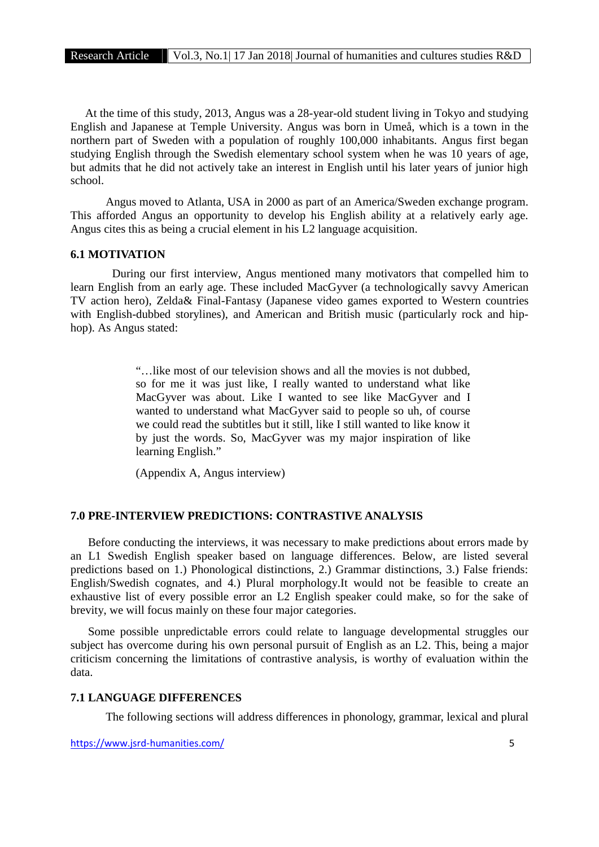At the time of this study, 2013, Angus was a 28-year-old student living in Tokyo and studying English and Japanese at Temple University. Angus was born in Umeå, which is a town in the northern part of Sweden with a population of roughly 100,000 inhabitants. Angus first began studying English through the Swedish elementary school system when he was 10 years of age, but admits that he did not actively take an interest in English until his later years of junior high school.

Angus moved to Atlanta, USA in 2000 as part of an America/Sweden exchange program. This afforded Angus an opportunity to develop his English ability at a relatively early age. Angus cites this as being a crucial element in his L2 language acquisition.

#### **6.1 MOTIVATION**

During our first interview, Angus mentioned many motivators that compelled him to learn English from an early age. These included MacGyver (a technologically savvy American TV action hero), Zelda& Final-Fantasy (Japanese video games exported to Western countries with English-dubbed storylines), and American and British music (particularly rock and hip hop). As Angus stated:

> "…like most of our television shows and all the movies is not dubbed, so for me it was just like, I really wanted to understand what like MacGyver was about. Like I wanted to see like MacGyver and I wanted to understand what MacGyver said to people so uh, of course we could read the subtitles but it still, like I still wanted to like know it by just the words. So, MacGyver was my major inspiration of like learning English."

(Appendix A, Angus interview)

# **7.0 PRE-INTERVIEW PREDICTIONS: CONTRASTIVE ANALYSIS**

Before conducting the interviews, it was necessary to make predictions about errors made by an L1 Swedish English speaker based on language differences. Below, are listed several predictions based on 1.) Phonological distinctions, 2.) Grammar distinctions, 3.) False friends: English/Swedish cognates, and 4.) Plural morphology.It would not be feasible to create an exhaustive list of every possible error an L2 English speaker could make, so for the sake of brevity, we will focus mainly on these four major categories.

Some possible unpredictable errors could relate to language developmental struggles our subject has overcome during his own personal pursuit of English as an L2. This, being a major criticism concerning the limitations of contrastive analysis, is worthy of evaluation within the data.

#### **7.1 LANGUAGE DIFFERENCES**

The following sections will address differences in phonology, grammar, lexical and plural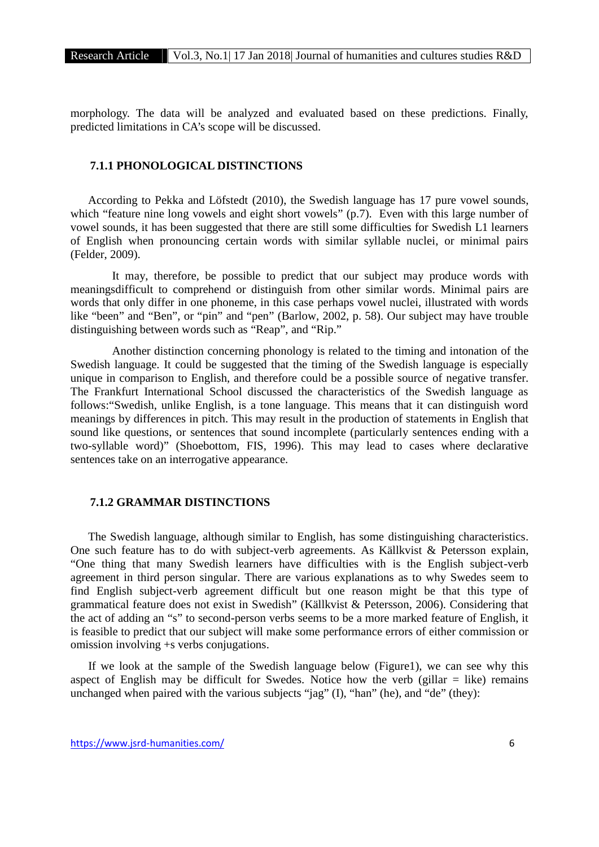morphology. The data will be analyzed and evaluated based on these predictions. Finally, predicted limitations in CA's scope will be discussed.

# **7.1.1 PHONOLOGICAL DISTINCTIONS**

According to Pekka and Löfstedt (2010), the Swedish language has 17 pure vowel sounds, which "feature nine long vowels and eight short vowels" (p.7). Even with this large number of vowel sounds, it has been suggested that there are still some difficulties for Swedish L1 learners of English when pronouncing certain words with similar syllable nuclei, or minimal pairs (Felder, 2009).

It may, therefore, be possible to predict that our subject may produce words with meaningsdifficult to comprehend or distinguish from other similar words. Minimal pairs are words that only differ in one phoneme, in this case perhaps vowel nuclei, illustrated with words like "been" and "Ben", or "pin" and "pen" (Barlow, 2002, p. 58). Our subject may have trouble distinguishing between words such as "Reap", and "Rip."

Another distinction concerning phonology is related to the timing and intonation of the Swedish language. It could be suggested that the timing of the Swedish language is especially unique in comparison to English, and therefore could be a possible source of negative transfer. The Frankfurt International School discussed the characteristics of the Swedish language as follows:"Swedish, unlike English, is a tone language. This means that it can distinguish word meanings by differences in pitch. This may result in the production of statements in English that sound like questions, or sentences that sound incomplete (particularly sentences ending with a two-syllable word)" (Shoebottom, FIS, 1996). This may lead to cases where declarative sentences take on an interrogative appearance.

## **7.1.2 GRAMMAR DISTINCTIONS**

The Swedish language, although similar to English, has some distinguishing characteristics. One such feature has to do with subject-verb agreements. As Källkvist & Petersson explain, "One thing that many Swedish learners have difficulties with is the English subject-verb agreement in third person singular. There are various explanations as to why Swedes seem to find English subject-verb agreement difficult but one reason might be that this type of grammatical feature does not exist in Swedish" (Källkvist & Petersson, 2006). Considering that the act of adding an "s" to second-person verbs seems to be a more marked feature of English, it is feasible to predict that our subject will make some performance errors of either commission or omission involving +s verbs conjugations.

If we look at the sample of the Swedish language below (Figure1), we can see why this aspect of English may be difficult for Swedes. Notice how the verb (gillar  $=$  like) remains unchanged when paired with the various subjects "jag" (I), "han" (he), and "de" (they):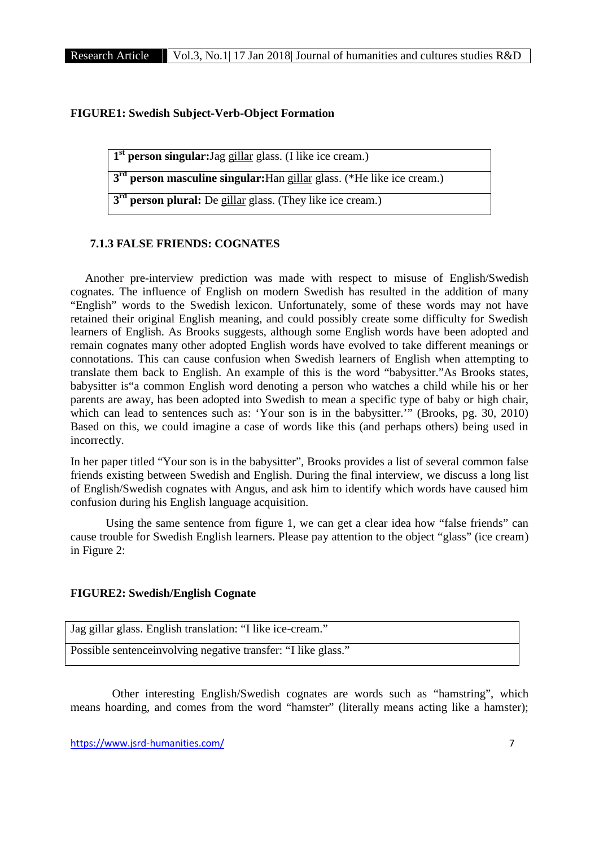## **FIGURE1: Swedish Subject-Verb-Object Formation**

**1 st person singular:**Jag gillar glass. (I like ice cream.)

**3 rd person masculine singular:**Han gillar glass. (\*He like ice cream.)

**3 rd person plural:** De gillar glass. (They like ice cream.)

# **7.1.3 FALSE FRIENDS: COGNATES**

Another pre-interview prediction was made with respect to misuse of English/Swedish cognates. The influence of English on modern Swedish has resulted in the addition of many "English" words to the Swedish lexicon. Unfortunately, some of these words may not have retained their original English meaning, and could possibly create some difficulty for Swedish learners of English. As Brooks suggests, although some English words have been adopted and remain cognates many other adopted English words have evolved to take different meanings or connotations. This can cause confusion when Swedish learners of English when attempting to translate them back to English. An example of this is the word "babysitter."As Brooks states, babysitter is"a common English word denoting a person who watches a child while his or her parents are away, has been adopted into Swedish to mean a specific type of baby or high chair, which can lead to sentences such as: 'Your son is in the babysitter.'" (Brooks, pg. 30, 2010) Based on this, we could imagine a case of words like this (and perhaps others) being used in incorrectly.

In her paper titled "Your son is in the babysitter", Brooks provides a list of several common false friends existing between Swedish and English. During the final interview, we discuss a long list of English/Swedish cognates with Angus, and ask him to identify which words have caused him confusion during his English language acquisition.

Using the same sentence from figure 1, we can get a clear idea how "false friends" can cause trouble for Swedish English learners. Please pay attention to the object "glass" (ice cream) in Figure 2:

#### **FIGURE2: Swedish/English Cognate**

| Jag gillar glass. English translation: "I like ice-cream."     |
|----------------------------------------------------------------|
| Possible sentence involving negative transfer: "I like glass." |

Other interesting English/Swedish cognates are words such as "hamstring", which means hoarding, and comes from the word "hamster" (literally means acting like a hamster);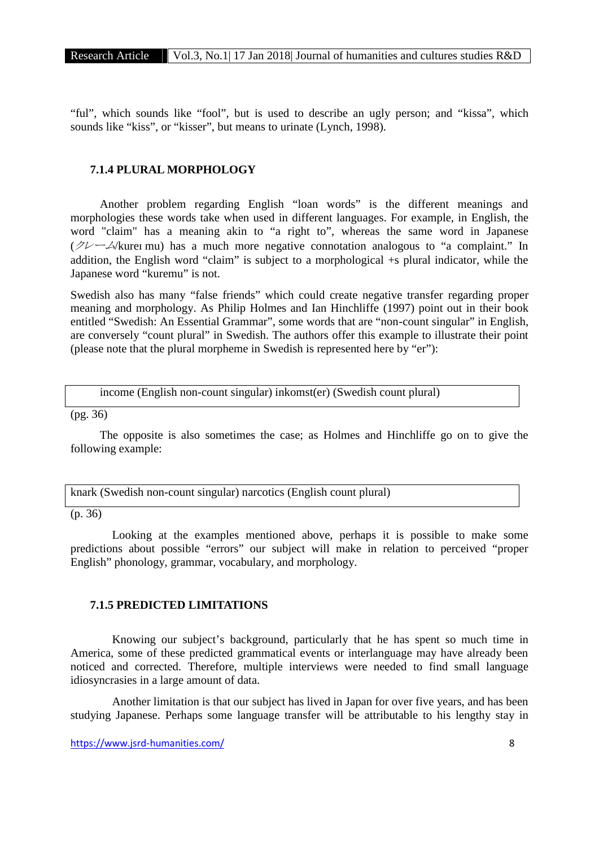"ful", which sounds like "fool", but is used to describe an ugly person; and "kissa", which sounds like "kiss", or "kisser", but means to urinate (Lynch, 1998).

# **7.1.4 PLURAL MORPHOLOGY**

Another problem regarding English "loan words" is the different meanings and morphologies these words take when used in different languages. For example, in English, the word "claim" has a meaning akin to "a right to", whereas the same word in Japanese (*クレーム*/kureɪ mu) has a much more negative connotation analogous to "a complaint." In addition, the English word "claim" is subject to a morphological +s plural indicator, while the Japanese word "kuremu" is not.

Swedish also has many "false friends" which could create negative transfer regarding proper meaning and morphology. As Philip Holmes and Ian Hinchliffe (1997) point out in their book entitled "Swedish: An Essential Grammar", some words that are "non-count singular" in English, are conversely "count plural" in Swedish. The authors offer this example to illustrate their point (please note that the plural morpheme in Swedish is represented here by "er"):

income (English non-count singular) inkomst(er) (Swedish count plural)

 $(pg. 36)$ 

The opposite is also sometimes the case; as Holmes and Hinchliffe go on to give the following example:

knark (Swedish non-count singular) narcotics (English count plural)

(p. 36)

Looking at the examples mentioned above, perhaps it is possible to make some predictions about possible "errors" our subject will make in relation to perceived "proper English" phonology, grammar, vocabulary, and morphology.

## **7.1.5 PREDICTED LIMITATIONS**

Knowing our subject's background, particularly that he has spent so much time in America, some of these predicted grammatical events or interlanguage may have already been noticed and corrected. Therefore, multiple interviews were needed to find small language idiosyncrasies in a large amount of data.

Another limitation is that our subject has lived in Japan for over five years, and has been studying Japanese. Perhaps some language transfer will be attributable to his lengthy stay in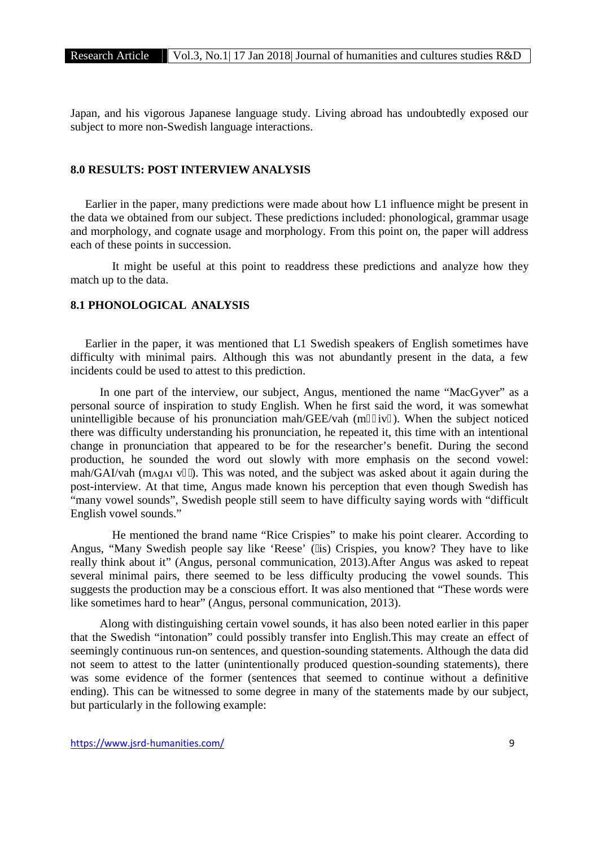Japan, and his vigorous Japanese language study. Living abroad has undoubtedly exposed our subject to more non-Swedish language interactions.

# **8.0 RESULTS: POST INTERVIEW ANALYSIS**

Earlier in the paper, many predictions were made about how L1 influence might be present in the data we obtained from our subject. These predictions included: phonological, grammar usage and morphology, and cognate usage and morphology. From this point on, the paper will address each of these points in succession.

It might be useful at this point to readdress these predictions and analyze how they match up to the data.

# **8.1 PHONOLOGICAL ANALYSIS**

Earlier in the paper, it was mentioned that L1 Swedish speakers of English sometimes have difficulty with minimal pairs. Although this was not abundantly present in the data, a few incidents could be used to attest to this prediction.

In one part of the interview, our subject, Angus, mentioned the name "MacGyver" as a personal source of inspiration to study English. When he first said the word, it was somewhat unintelligible because of his pronunciation mah/GEE/vah  $(m$  iv). When the subject noticed there was difficulty understanding his pronunciation, he repeated it, this time with an intentional change in pronunciation that appeared to be for the researcher's benefit. During the second production, he sounded the word out slowly with more emphasis on the second vowel: mah/GAI/vah (m $\alpha$ q $\alpha$ <sub>I</sub> v  $\alpha$ ). This was noted, and the subject was asked about it again during the post-interview. At that time, Angus made known his perception that even though Swedish has "many vowel sounds", Swedish people still seem to have difficulty saying words with "difficult English vowel sounds."

He mentioned the brand name "Rice Crispies" to make his point clearer. According to Angus, "Many Swedish people say like 'Reese' ( is) Crispies, you know? They have to like really think about it" (Angus, personal communication, 2013).After Angus was asked to repeat several minimal pairs, there seemed to be less difficulty producing the vowel sounds. This suggests the production may be a conscious effort. It was also mentioned that "These words were like sometimes hard to hear" (Angus, personal communication, 2013).

Along with distinguishing certain vowel sounds, it has also been noted earlier in this paper that the Swedish "intonation" could possibly transfer into English.This may create an effect of seemingly continuous run-on sentences, and question-sounding statements. Although the data did not seem to attest to the latter (unintentionally produced question-sounding statements), there was some evidence of the former (sentences that seemed to continue without a definitive ending). This can be witnessed to some degree in many of the statements made by our subject, but particularly in the following example: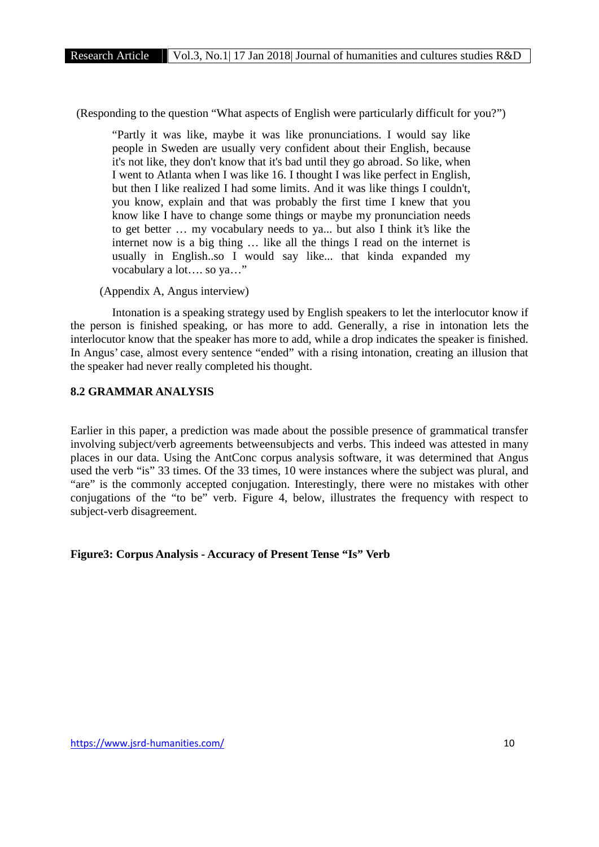(Responding to the question "What aspects of English were particularly difficult for you?")

"Partly it was like, maybe it was like pronunciations. I would say like people in Sweden are usually very confident about their English, because it's not like, they don't know that it's bad until they go abroad. So like, when I went to Atlanta when I was like 16. I thought I was like perfect in English, but then I like realized I had some limits. And it was like things I couldn't, you know, explain and that was probably the first time I knew that you know like I have to change some things or maybe my pronunciation needs to get better … my vocabulary needs to ya... but also I think it's like the internet now is a big thing … like all the things I read on the internet is usually in English..so I would say like... that kinda expanded my vocabulary a lot…. so ya…"

(Appendix A, Angus interview)

Intonation is a speaking strategy used by English speakers to let the interlocutor know if the person is finished speaking, or has more to add. Generally, a rise in intonation lets the interlocutor know that the speaker has more to add, while a drop indicates the speaker is finished. In Angus' case, almost every sentence "ended" with a rising intonation, creating an illusion that the speaker had never really completed his thought.

# **8.2 GRAMMAR ANALYSIS**

Earlier in this paper, a prediction was made about the possible presence of grammatical transfer involving subject/verb agreements betweensubjects and verbs. This indeed was attested in many places in our data. Using the AntConc corpus analysis software, it was determined that Angus used the verb "is" 33 times. Of the 33 times, 10 were instances where the subject was plural, and "are" is the commonly accepted conjugation. Interestingly, there were no mistakes with other conjugations of the "to be" verb. Figure 4, below, illustrates the frequency with respect to subject-verb disagreement.

**Figure3: Corpus Analysis - Accuracy of Present Tense "Is" Verb**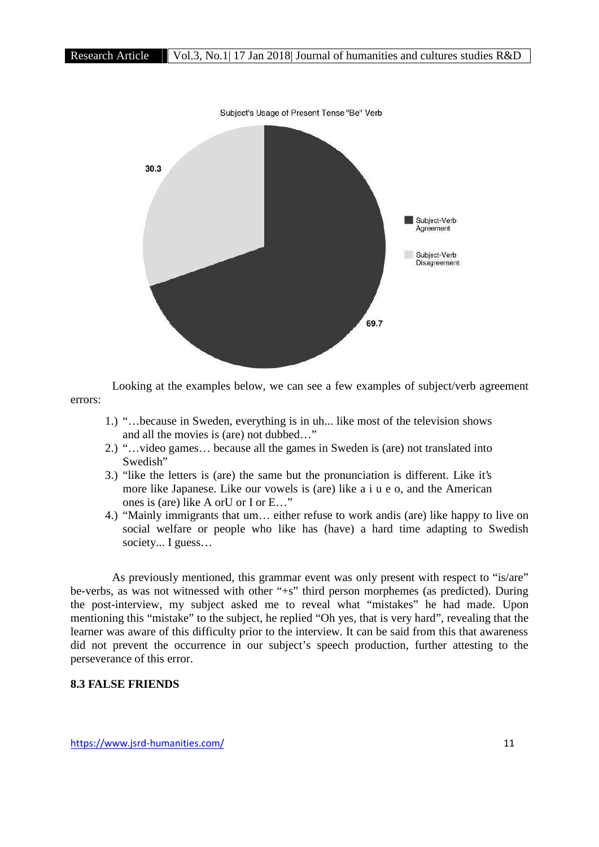

Looking at the examples below, we can see a few examples of subject/verb agreement errors:

- 1.) "…because in Sweden, everything is in uh... like most of the television shows and all the movies is (are) not dubbed…"
- 2.) "…video games… because all the games in Sweden is (are) not translated into Swedish"
- 3.) "like the letters is (are) the same but the pronunciation is different. Like it's more like Japanese. Like our vowels is (are) like a i u e o, and the American ones is (are) like A orU or I or E…"
- 4.) "Mainly immigrants that um… either refuse to work andis (are) like happy to live on social welfare or people who like has (have) a hard time adapting to Swedish society... I guess…

As previously mentioned, this grammar event was only present with respect to "is/are" be-verbs, as was not witnessed with other "+s" third person morphemes (as predicted). During the post-interview, my subject asked me to reveal what "mistakes" he had made. Upon mentioning this "mistake" to the subject, he replied "Oh yes, that is very hard", revealing that the learner was aware of this difficulty prior to the interview. It can be said from this that awareness did not prevent the occurrence in our subject's speech production, further attesting to the perseverance of this error.

# **8.3 FALSE FRIENDS**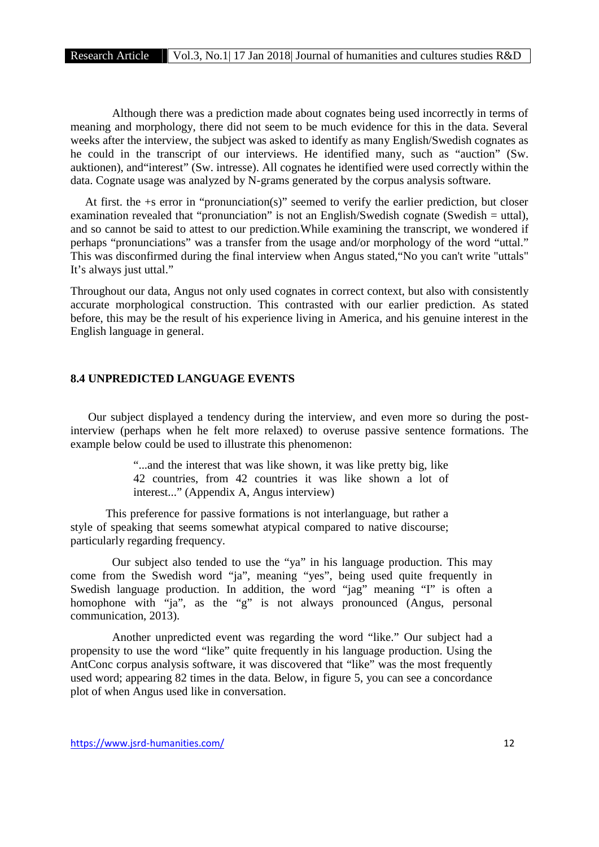Although there was a prediction made about cognates being used incorrectly in terms of meaning and morphology, there did not seem to be much evidence for this in the data. Several weeks after the interview, the subject was asked to identify as many English/Swedish cognates as he could in the transcript of our interviews. He identified many, such as "auction" (Sw. auktionen), and"interest" (Sw. intresse). All cognates he identified were used correctly within the data. Cognate usage was analyzed by N-grams generated by the corpus analysis software.

At first. the +s error in "pronunciation(s)" seemed to verify the earlier prediction, but closer examination revealed that "pronunciation" is not an English/Swedish cognate (Swedish = uttal), and so cannot be said to attest to our prediction.While examining the transcript, we wondered if perhaps "pronunciations" was a transfer from the usage and/or morphology of the word "uttal." This was disconfirmed during the final interview when Angus stated,"No you can't write "uttals" It's always just uttal."

Throughout our data, Angus not only used cognates in correct context, but also with consistently accurate morphological construction. This contrasted with our earlier prediction. As stated before, this may be the result of his experience living in America, and his genuine interest in the English language in general.

# **8.4 UNPREDICTED LANGUAGE EVENTS**

Our subject displayed a tendency during the interview, and even more so during the postinterview (perhaps when he felt more relaxed) to overuse passive sentence formations. The example below could be used to illustrate this phenomenon:

> "...and the interest that was like shown, it was like pretty big, like 42 countries, from 42 countries it was like shown a lot of interest..." (Appendix A, Angus interview)

This preference for passive formations is not interlanguage, but rather a style of speaking that seems somewhat atypical compared to native discourse; particularly regarding frequency.

Our subject also tended to use the "ya" in his language production. This may come from the Swedish word "ja", meaning "yes", being used quite frequently in Swedish language production. In addition, the word "jag" meaning "I" is often a homophone with "ja", as the "g" is not always pronounced (Angus, personal communication, 2013).

Another unpredicted event was regarding the word "like." Our subject had a propensity to use the word "like" quite frequently in his language production. Using the AntConc corpus analysis software, it was discovered that "like" was the most frequently used word; appearing 82 times in the data. Below, in figure 5, you can see a concordance plot of when Angus used like in conversation.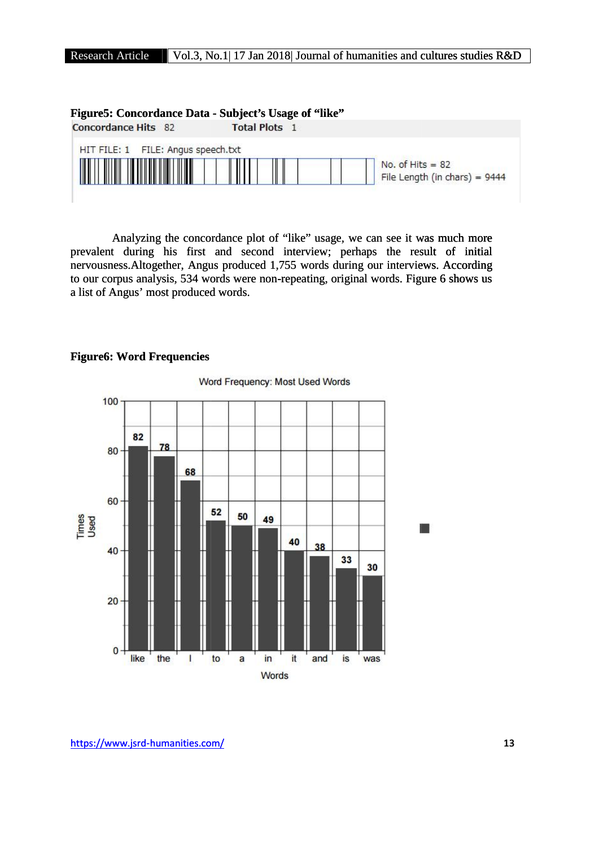

Analyzing the concordance plot of "like" usage, we can see it was much more Analyzing the concordance plot of "like" usage, we can see it was much more<br>prevalent during his first and second interview; perhaps the result of initial nervousness. Altogether, Angus produced 1,755 words during our interviews. According to our corpus analysis, 534 words were non-repeating, original words. Figure 6 shows us to our corpus analysis, 534 words were non-repeating, original words. Figure 6 shows usa list of Angus' most produced words.

# **Figure6: Word Frequencies**

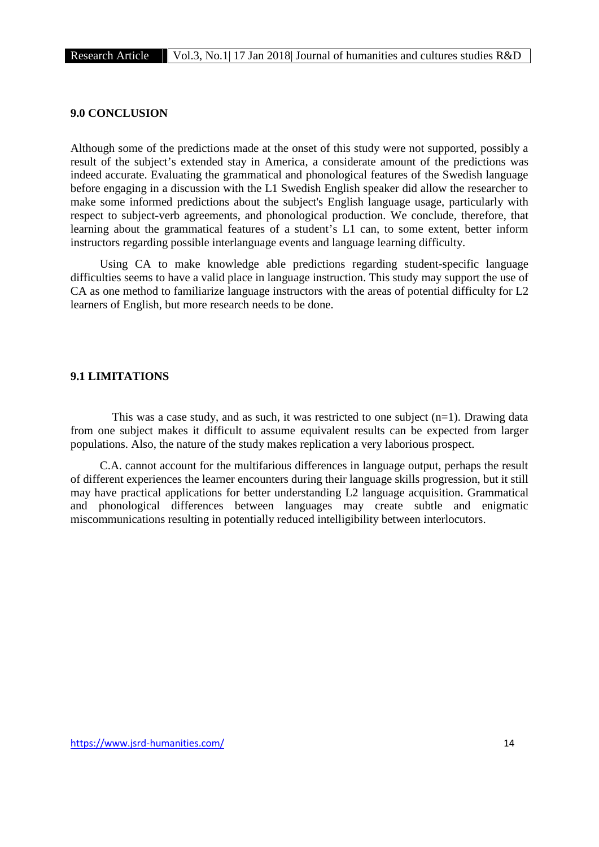# **9.0 CONCLUSION**

Although some of the predictions made at the onset of this study were not supported, possibly a result of the subject's extended stay in America, a considerate amount of the predictions was indeed accurate. Evaluating the grammatical and phonological features of the Swedish language before engaging in a discussion with the L1 Swedish English speaker did allow the researcher to make some informed predictions about the subject's English language usage, particularly with respect to subject-verb agreements, and phonological production. We conclude, therefore, that learning about the grammatical features of a student's L1 can, to some extent, better inform instructors regarding possible interlanguage events and language learning difficulty.

Using CA to make knowledge able predictions regarding student-specific language difficulties seems to have a valid place in language instruction. This study may support the use of CA as one method to familiarize language instructors with the areas of potential difficulty for L2 learners of English, but more research needs to be done.

# **9.1 LIMITATIONS**

This was a case study, and as such, it was restricted to one subject  $(n=1)$ . Drawing data from one subject makes it difficult to assume equivalent results can be expected from larger populations. Also, the nature of the study makes replication a very laborious prospect.

C.A. cannot account for the multifarious differences in language output, perhaps the result of different experiences the learner encounters during their language skills progression, but it still may have practical applications for better understanding L2 language acquisition. Grammatical and phonological differences between languages may create subtle and enigmatic miscommunications resulting in potentially reduced intelligibility between interlocutors.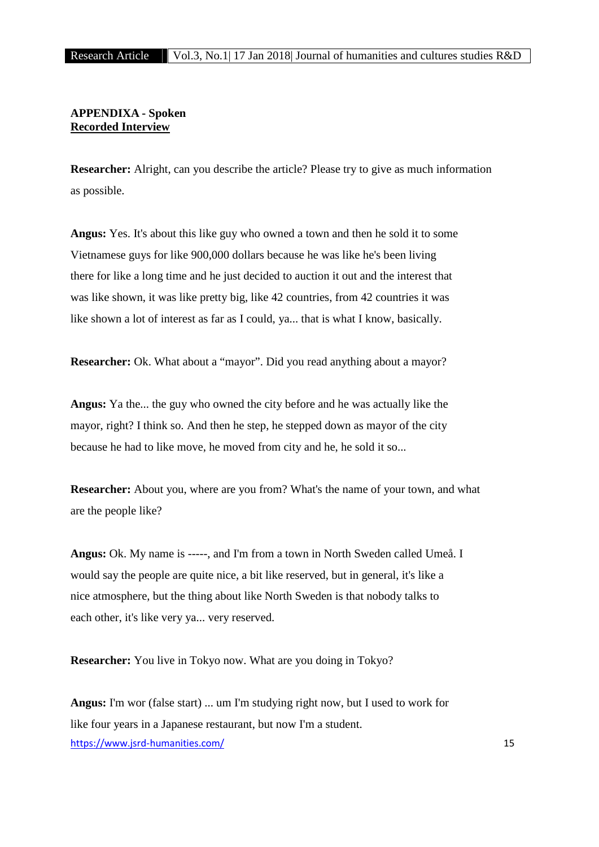# **APPENDIXA - Spoken Recorded Interview**

**Researcher:** Alright, can you describe the article? Please try to give as much information as possible.

**Angus:** Yes. It's about this like guy who owned a town and then he sold it to some Vietnamese guys for like 900,000 dollars because he was like he's been living there for like a long time and he just decided to auction it out and the interest that was like shown, it was like pretty big, like 42 countries, from 42 countries it was like shown a lot of interest as far as I could, ya... that is what I know, basically.

**Researcher:** Ok. What about a "mayor". Did you read anything about a mayor?

**Angus:** Ya the... the guy who owned the city before and he was actually like the mayor, right? I think so. And then he step, he stepped down as mayor of the city because he had to like move, he moved from city and he, he sold it so...

**Researcher:** About you, where are you from? What's the name of your town, and what are the people like?

**Angus:** Ok. My name is -----, and I'm from a town in North Sweden called Umeå. I would say the people are quite nice, a bit like reserved, but in general, it's like a nice atmosphere, but the thing about like North Sweden is that nobody talks to each other, it's like very ya... very reserved.

**Researcher:** You live in Tokyo now. What are you doing in Tokyo?

https://www.jsrd-humanities.com/ 15 **Angus:** I'm wor (false start) ... um I'm studying right now, but I used to work for like four years in a Japanese restaurant, but now I'm a student.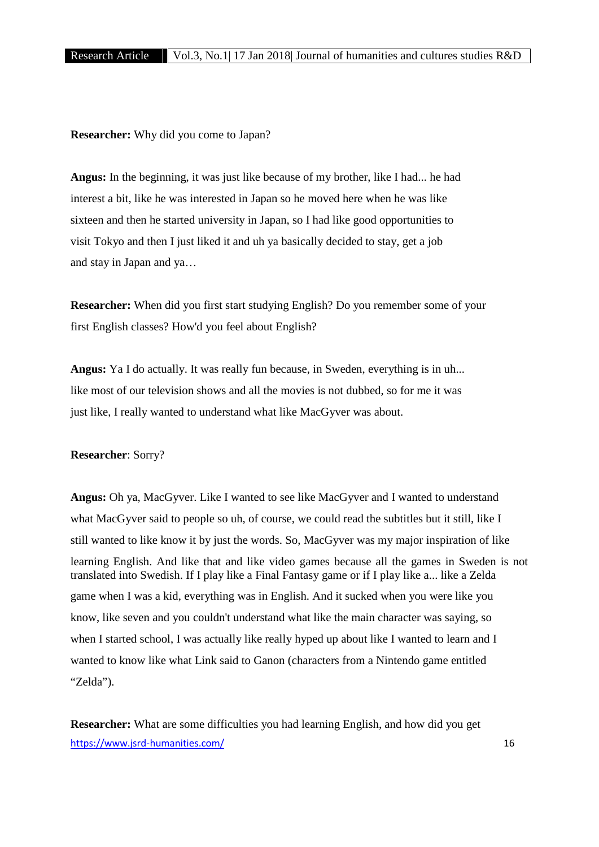**Researcher:** Why did you come to Japan?

**Angus:** In the beginning, it was just like because of my brother, like I had... he had interest a bit, like he was interested in Japan so he moved here when he was like sixteen and then he started university in Japan, so I had like good opportunities to visit Tokyo and then I just liked it and uh ya basically decided to stay, get a job and stay in Japan and ya…

**Researcher:** When did you first start studying English? Do you remember some of your first English classes? How'd you feel about English?

**Angus:** Ya I do actually. It was really fun because, in Sweden, everything is in uh... like most of our television shows and all the movies is not dubbed, so for me it was just like, I really wanted to understand what like MacGyver was about.

#### **Researcher**: Sorry?

**Angus:** Oh ya, MacGyver. Like I wanted to see like MacGyver and I wanted to understand what MacGyver said to people so uh, of course, we could read the subtitles but it still, like I still wanted to like know it by just the words. So, MacGyver was my major inspiration of like learning English. And like that and like video games because all the games in Sweden is not translated into Swedish. If I play like a Final Fantasy game or if I play like a... like a Zelda game when I was a kid, everything was in English. And it sucked when you were like you know, like seven and you couldn't understand what like the main character was saying, so when I started school, I was actually like really hyped up about like I wanted to learn and I wanted to know like what Link said to Ganon (characters from a Nintendo game entitled "Zelda").

https://www.jsrd-humanities.com/ 16 **Researcher:** What are some difficulties you had learning English, and how did you get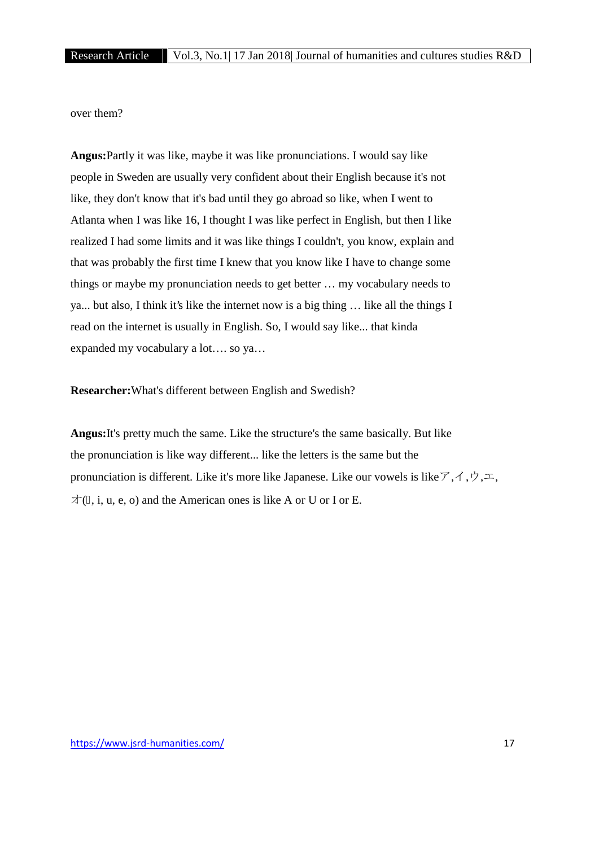over them?

**Angus:**Partly it was like, maybe it was like pronunciations. I would say like people in Sweden are usually very confident about their English because it's not like, they don't know that it's bad until they go abroad so like, when I went to Atlanta when I was like 16, I thought I was like perfect in English, but then I like realized I had some limits and it was like things I couldn't, you know, explain and that was probably the first time I knew that you know like I have to change some things or maybe my pronunciation needs to get better … my vocabulary needs to ya... but also, I think it's like the internet now is a big thing … like all the things I read on the internet is usually in English. So, I would say like... that kinda expanded my vocabulary a lot…. so ya…

**Researcher:**What's different between English and Swedish?

**Angus:**It's pretty much the same. Like the structure's the same basically. But like the pronunciation is like way different... like the letters is the same but the pronunciation is different. Like it's more like Japanese. Like our vowels is like  $\mathcal{F}, \mathcal{A}, \mathcal{P}, \mathcal{F}, \mathcal{A}$  $\forall$  (, i, u, e, o) and the American ones is like A or U or I or E.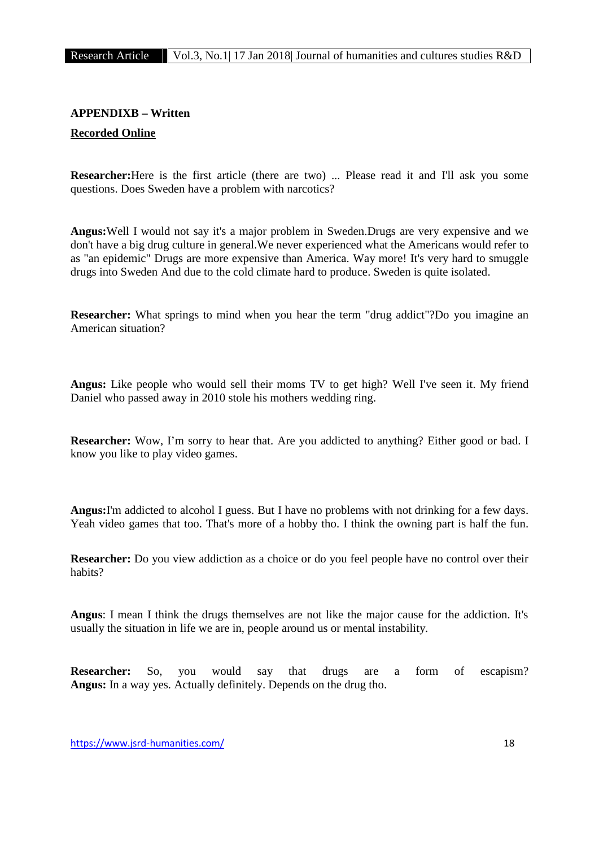# **APPENDIXB – Written Recorded Online**

**Researcher:**Here is the first article (there are two) ... Please read it and I'll ask you some questions. Does Sweden have a problem with narcotics?

**Angus:**Well I would not say it's a major problem in Sweden.Drugs are very expensive and we don't have a big drug culture in general.We never experienced what the Americans would refer to as "an epidemic" Drugs are more expensive than America. Way more! It's very hard to smuggle drugs into Sweden And due to the cold climate hard to produce. Sweden is quite isolated.

**Researcher:** What springs to mind when you hear the term "drug addict"?Do you imagine an American situation?

**Angus:** Like people who would sell their moms TV to get high? Well I've seen it. My friend Daniel who passed away in 2010 stole his mothers wedding ring.

**Researcher:** Wow, I'm sorry to hear that. Are you addicted to anything? Either good or bad. I know you like to play video games.

**Angus:**I'm addicted to alcohol I guess. But I have no problems with not drinking for a few days. Yeah video games that too. That's more of a hobby tho. I think the owning part is half the fun.

**Researcher:** Do you view addiction as a choice or do you feel people have no control over their habits?

**Angus**: I mean I think the drugs themselves are not like the major cause for the addiction. It's usually the situation in life we are in, people around us or mental instability.

**Researcher:** So, you would say that drugs are a form of escapism? **Angus:** In a way yes. Actually definitely. Depends on the drug tho.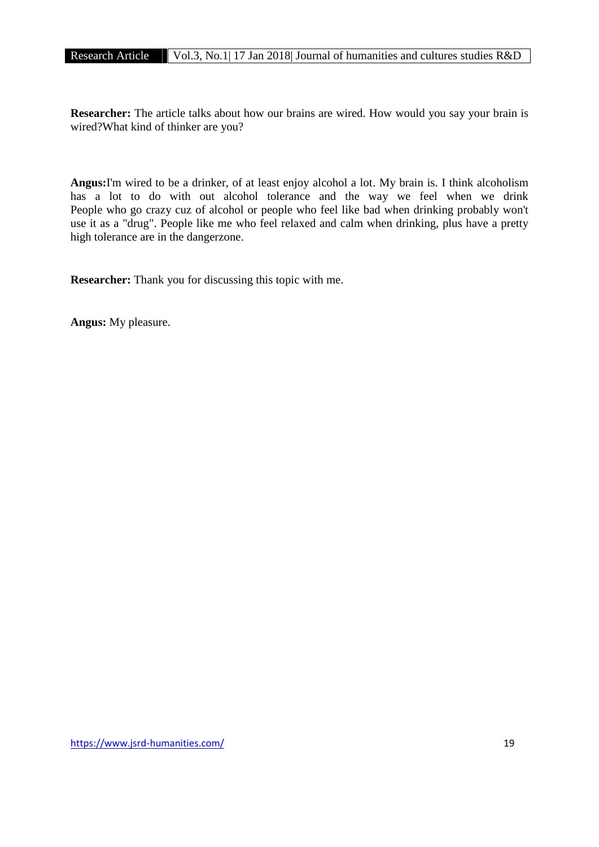**Researcher:** The article talks about how our brains are wired. How would you say your brain is wired?What kind of thinker are you?

**Angus:**I'm wired to be a drinker, of at least enjoy alcohol a lot. My brain is. I think alcoholism has a lot to do with out alcohol tolerance and the way we feel when we drink People who go crazy cuz of alcohol or people who feel like bad when drinking probably won't use it as a "drug". People like me who feel relaxed and calm when drinking, plus have a pretty high tolerance are in the dangerzone.

**Researcher:** Thank you for discussing this topic with me.

**Angus:** My pleasure.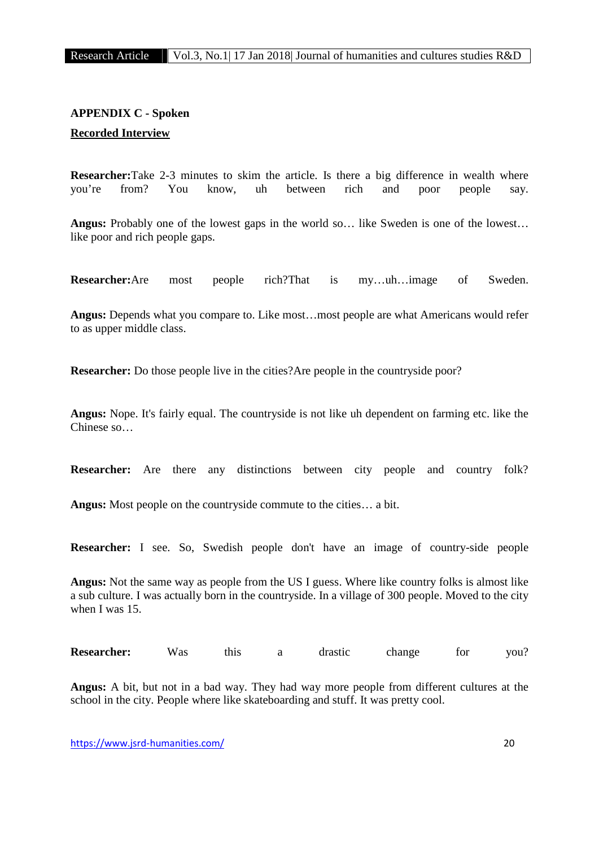# **APPENDIX C - Spoken Recorded Interview**

**Researcher:**Take 2-3 minutes to skim the article. Is there a big difference in wealth where you're from? You know, uh between rich and poor people say.

**Angus:** Probably one of the lowest gaps in the world so… like Sweden is one of the lowest… like poor and rich people gaps.

**Researcher:**Are most people rich?That is my…uh…image of Sweden.

**Angus:** Depends what you compare to. Like most…most people are what Americans would refer to as upper middle class.

**Researcher:** Do those people live in the cities?Are people in the countryside poor?

**Angus:** Nope. It's fairly equal. The countryside is not like uh dependent on farming etc. like the Chinese so…

**Researcher:** Are there any distinctions between city people and country folk?

**Angus:** Most people on the countryside commute to the cities… a bit.

**Researcher:** I see. So, Swedish people don't have an image of country-side people

**Angus:** Not the same way as people from the US I guess. Where like country folks is almost like a sub culture. I was actually born in the countryside. In a village of 300 people. Moved to the city when I was 15.

| <b>Researcher:</b> | Was | this |  | drastıc | change | for | vou. |  |
|--------------------|-----|------|--|---------|--------|-----|------|--|
|--------------------|-----|------|--|---------|--------|-----|------|--|

**Angus:** A bit, but not in a bad way. They had way more people from different cultures at the school in the city. People where like skateboarding and stuff. It was pretty cool.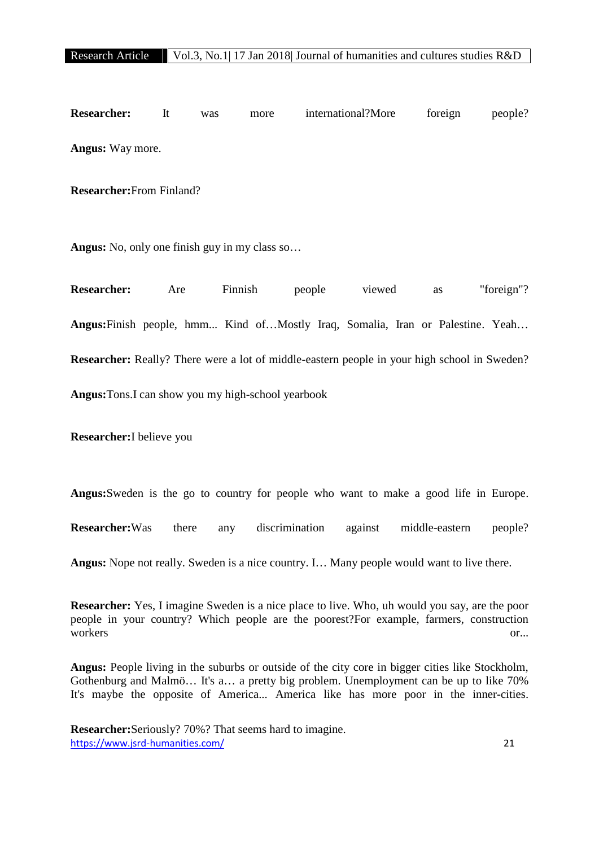**Researcher:** It was more international?More foreign people? **Angus:** Way more.

**Researcher:**From Finland?

**Angus:** No, only one finish guy in my class so…

**Researcher:** Are Finnish people viewed as "foreign"? **Angus:**Finish people, hmm... Kind of…Mostly Iraq, Somalia, Iran or Palestine. Yeah… **Researcher:** Really? There were a lot of middle-eastern people in your high school in Sweden? **Angus:**Tons.I can show you my high-school yearbook

**Researcher:**I believe you

**Angus:**Sweden is the go to country for people who want to make a good life in Europe.

**Researcher:**Was there any discrimination against middle-eastern people?

**Angus:** Nope not really. Sweden is a nice country. I… Many people would want to live there.

**Researcher:** Yes, I imagine Sweden is a nice place to live. Who, uh would you say, are the poor people in your country? Which people are the poorest?For example, farmers, construction workers or...

**Angus:** People living in the suburbs or outside of the city core in bigger cities like Stockholm, Gothenburg and Malmö… It's a… a pretty big problem. Unemployment can be up to like 70% It's maybe the opposite of America... America like has more poor in the inner-cities.

https://www.jsrd-humanities.com/ 21 **Researcher:**Seriously? 70%? That seems hard to imagine.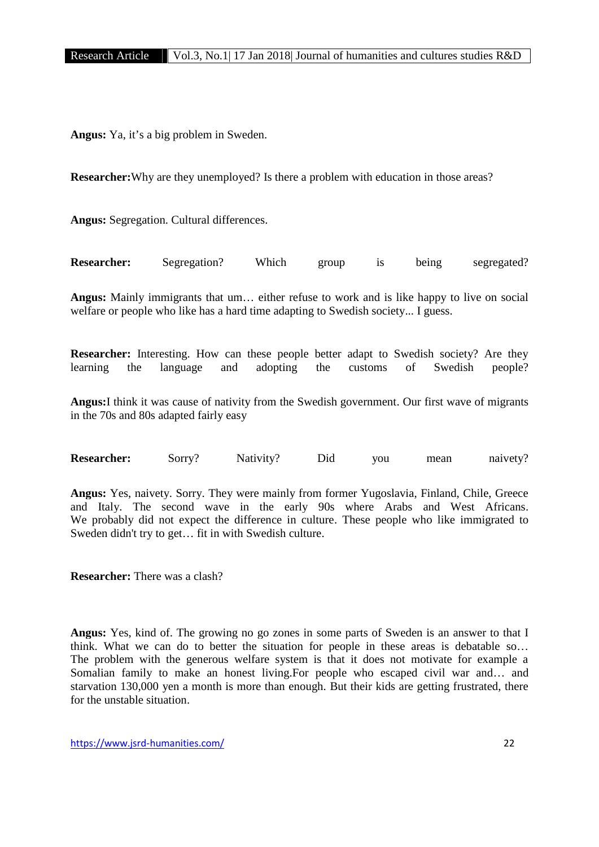**Angus:** Ya, it's a big problem in Sweden.

**Researcher:**Why are they unemployed? Is there a problem with education in those areas?

**Angus:** Segregation. Cultural differences.

| <b>Researcher:</b> | Segregation? | Which | group |  | being | segregated? |  |
|--------------------|--------------|-------|-------|--|-------|-------------|--|
|--------------------|--------------|-------|-------|--|-------|-------------|--|

**Angus:** Mainly immigrants that um… either refuse to work and is like happy to live on social welfare or people who like has a hard time adapting to Swedish society... I guess.

**Researcher:** Interesting. How can these people better adapt to Swedish society? Are they learning the language and adopting the customs of Swedish people?

**Angus:**I think it was cause of nativity from the Swedish government. Our first wave of migrants in the 70s and 80s adapted fairly easy

**Researcher:** Sorry? Nativity? Did you mean naivety?

**Angus:** Yes, naivety. Sorry. They were mainly from former Yugoslavia, Finland, Chile, Greece and Italy. The second wave in the early 90s where Arabs and West Africans. We probably did not expect the difference in culture. These people who like immigrated to Sweden didn't try to get… fit in with Swedish culture.

**Researcher:** There was a clash?

**Angus:** Yes, kind of. The growing no go zones in some parts of Sweden is an answer to that I think. What we can do to better the situation for people in these areas is debatable so… The problem with the generous welfare system is that it does not motivate for example a Somalian family to make an honest living.For people who escaped civil war and… and starvation 130,000 yen a month is more than enough. But their kids are getting frustrated, there for the unstable situation.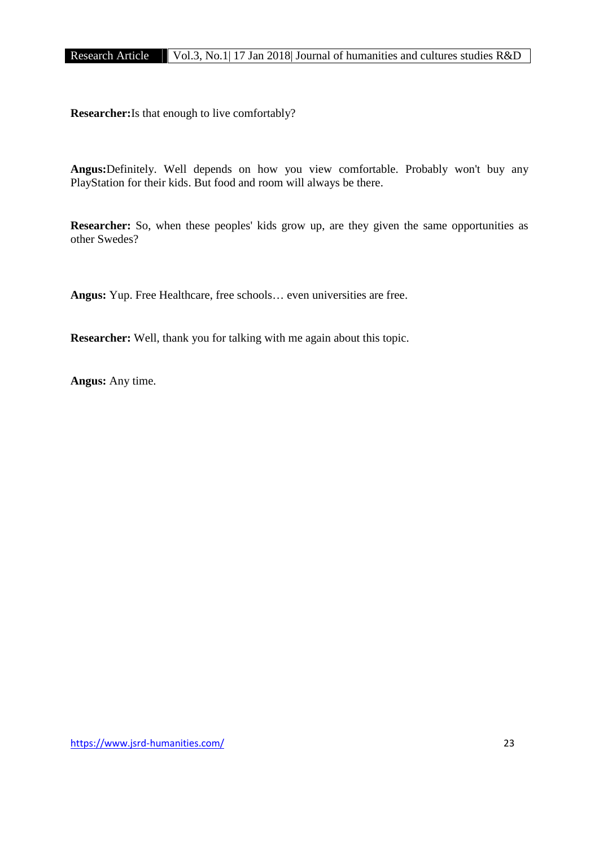**Researcher:**Is that enough to live comfortably?

**Angus:**Definitely. Well depends on how you view comfortable. Probably won't buy any PlayStation for their kids. But food and room will always be there.

**Researcher:** So, when these peoples' kids grow up, are they given the same opportunities as other Swedes?

**Angus:** Yup. Free Healthcare, free schools… even universities are free.

**Researcher:** Well, thank you for talking with me again about this topic.

**Angus:** Any time.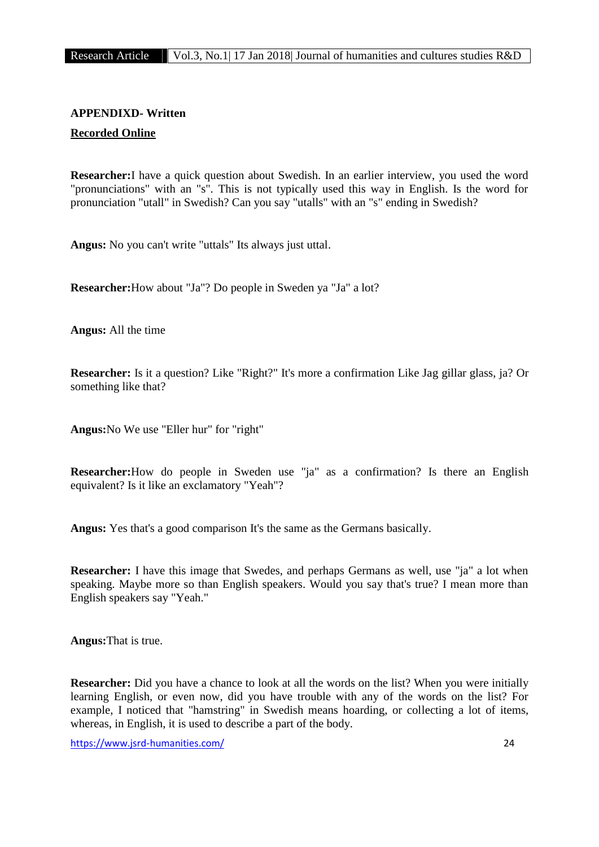# **APPENDIXD- Written Recorded Online**

**Researcher:**I have a quick question about Swedish. In an earlier interview, you used the word "pronunciations" with an "s". This is not typically used this way in English. Is the word for pronunciation "utall" in Swedish? Can you say "utalls" with an "s" ending in Swedish?

**Angus:** No you can't write "uttals" Its always just uttal.

**Researcher:**How about "Ja"? Do people in Sweden ya "Ja" a lot?

**Angus:** All the time

**Researcher:** Is it a question? Like "Right?" It's more a confirmation Like Jag gillar glass, ja? Or something like that?

**Angus:**No We use "Eller hur" for "right"

**Researcher:**How do people in Sweden use "ja" as a confirmation? Is there an English equivalent? Is it like an exclamatory "Yeah"?

**Angus:** Yes that's a good comparison It's the same as the Germans basically.

**Researcher:** I have this image that Swedes, and perhaps Germans as well, use "ja" a lot when speaking. Maybe more so than English speakers. Would you say that's true? I mean more than English speakers say "Yeah."

**Angus:**That is true.

**Researcher:** Did you have a chance to look at all the words on the list? When you were initially learning English, or even now, did you have trouble with any of the words on the list? For example, I noticed that "hamstring" in Swedish means hoarding, or collecting a lot of items, whereas, in English, it is used to describe a part of the body.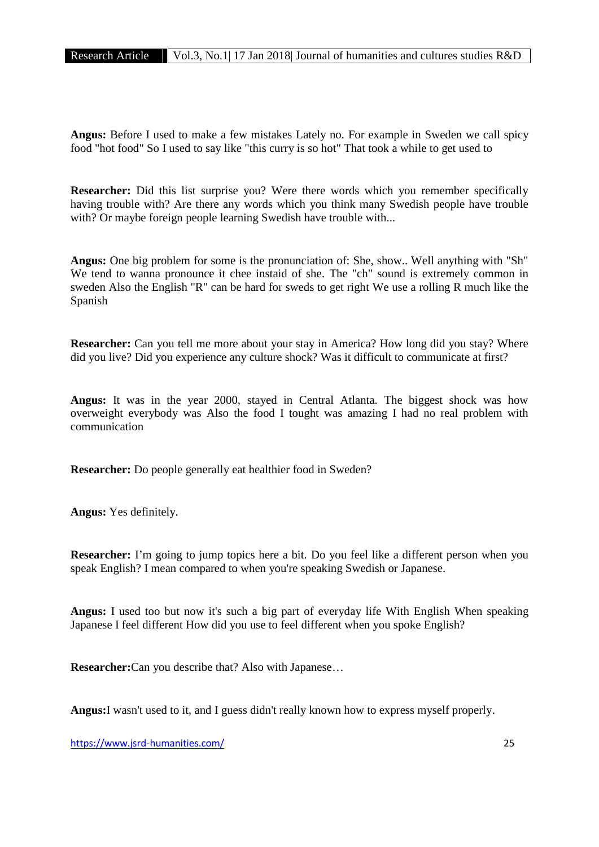**Angus:** Before I used to make a few mistakes Lately no. For example in Sweden we call spicy food "hot food" So I used to say like "this curry is so hot" That took a while to get used to

**Researcher:** Did this list surprise you? Were there words which you remember specifically having trouble with? Are there any words which you think many Swedish people have trouble with? Or maybe foreign people learning Swedish have trouble with...

**Angus:** One big problem for some is the pronunciation of: She, show.. Well anything with "Sh" We tend to wanna pronounce it chee instaid of she. The "ch" sound is extremely common in sweden Also the English "R" can be hard for sweds to get right We use a rolling R much like the Spanish

**Researcher:** Can you tell me more about your stay in America? How long did you stay? Where did you live? Did you experience any culture shock? Was it difficult to communicate at first?

**Angus:** It was in the year 2000, stayed in Central Atlanta. The biggest shock was how overweight everybody was Also the food I tought was amazing I had no real problem with communication

**Researcher:** Do people generally eat healthier food in Sweden?

**Angus:** Yes definitely.

**Researcher:** I'm going to jump topics here a bit. Do you feel like a different person when you speak English? I mean compared to when you're speaking Swedish or Japanese.

**Angus:** I used too but now it's such a big part of everyday life With English When speaking Japanese I feel different How did you use to feel different when you spoke English?

**Researcher:**Can you describe that? Also with Japanese…

**Angus:**I wasn't used to it, and I guess didn't really known how to express myself properly.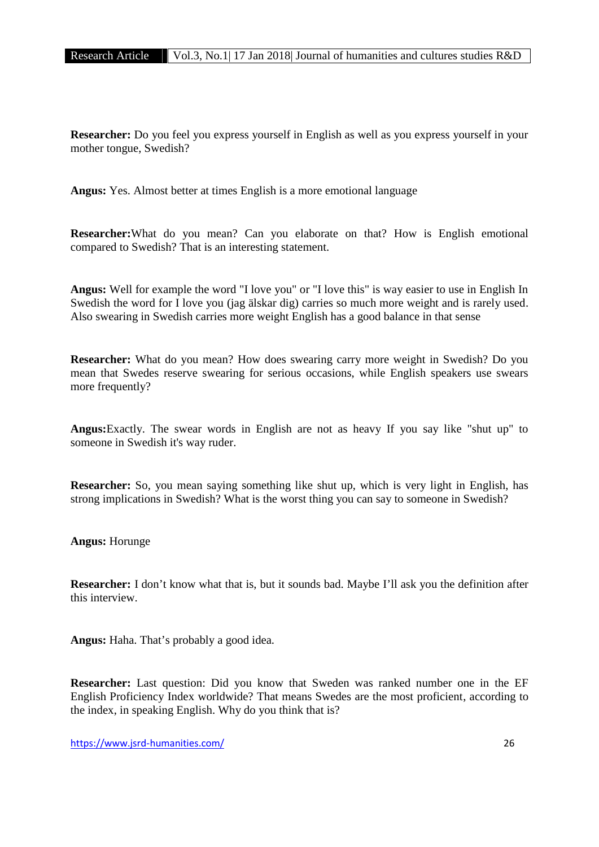**Researcher:** Do you feel you express yourself in English as well as you express yourself in your mother tongue, Swedish?

**Angus:** Yes. Almost better at times English is a more emotional language

**Researcher:**What do you mean? Can you elaborate on that? How is English emotional compared to Swedish? That is an interesting statement.

**Angus:** Well for example the word "I love you" or "I love this" is way easier to use in English In Swedish the word for I love you (jag älskar dig) carries so much more weight and is rarely used. Also swearing in Swedish carries more weight English has a good balance in that sense

**Researcher:** What do you mean? How does swearing carry more weight in Swedish? Do you mean that Swedes reserve swearing for serious occasions, while English speakers use swears more frequently?

**Angus:**Exactly. The swear words in English are not as heavy If you say like "shut up" to someone in Swedish it's way ruder.

**Researcher:** So, you mean saying something like shut up, which is very light in English, has strong implications in Swedish? What is the worst thing you can say to someone in Swedish?

**Angus:** Horunge

**Researcher:** I don't know what that is, but it sounds bad. Maybe I'll ask you the definition after this interview.

**Angus:** Haha. That's probably a good idea.

**Researcher:** Last question: Did you know that Sweden was ranked number one in the EF English Proficiency Index worldwide? That means Swedes are the most proficient, according to the index, in speaking English. Why do you think that is?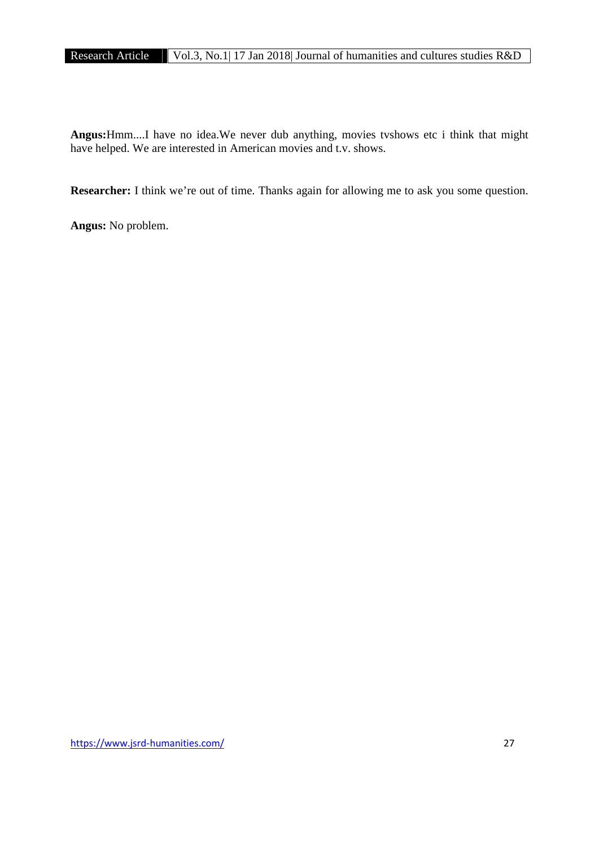**Angus:**Hmm....I have no idea.We never dub anything, movies tvshows etc i think that might have helped. We are interested in American movies and t.v. shows.

**Researcher:** I think we're out of time. Thanks again for allowing me to ask you some question.

**Angus:** No problem.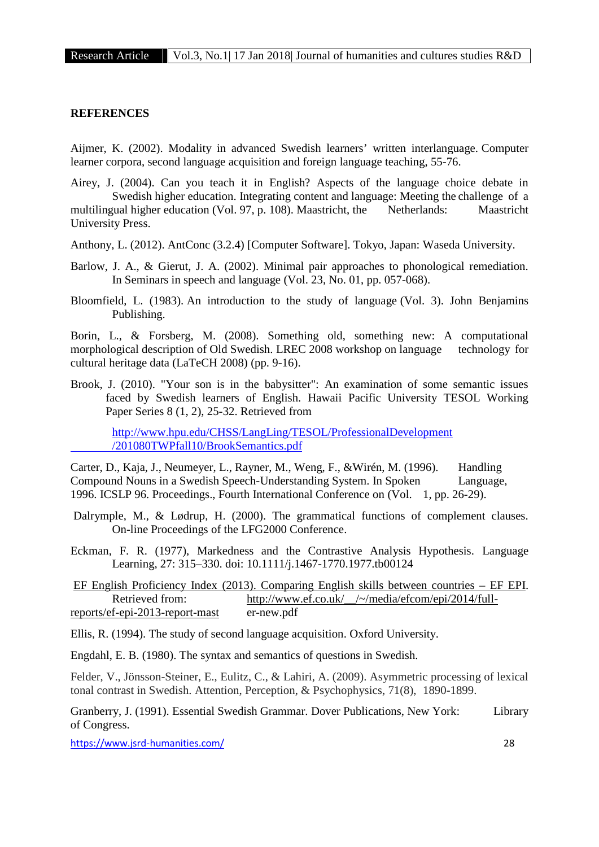# **REFERENCES**

Aijmer, K. (2002). Modality in advanced Swedish learners' written interlanguage. Computer learner corpora, second language acquisition and foreign language teaching, 55-76.

Airey, J. (2004). Can you teach it in English? Aspects of the language choice debate in Swedish higher education. Integrating content and language: Meeting the challenge of a multilingual higher education (Vol. 97, p. 108). Maastricht, the Netherlands: Maastricht University Press.

Anthony, L. (2012). AntConc (3.2.4) [Computer Software]. Tokyo, Japan: Waseda University.

- Barlow, J. A., & Gierut, J. A. (2002). Minimal pair approaches to phonological remediation. In Seminars in speech and language (Vol. 23, No. 01, pp. 057-068).
- Bloomfield, L. (1983). An introduction to the study of language (Vol. 3). John Benjamins Publishing.

Borin, L., & Forsberg, M. (2008). Something old, something new: A computational morphological description of Old Swedish. LREC 2008 workshop on language technology for cultural heritage data (LaTeCH 2008) (pp. 9-16).

Brook, J. (2010). "Your son is in the babysitter": An examination of some semantic issues faced by Swedish learners of English. Hawaii Pacific University TESOL Working Paper Series 8 (1, 2), 25-32. Retrieved from

http://www.hpu.edu/CHSS/LangLing/TESOL/ProfessionalDevelopment /201080TWPfall10/BrookSemantics.pdf

Carter, D., Kaja, J., Neumeyer, L., Rayner, M., Weng, F., &Wirén, M. (1996). Handling Compound Nouns in a Swedish Speech-Understanding System. In Spoken Language, 1996. ICSLP 96. Proceedings., Fourth International Conference on (Vol. 1, pp. 26-29).

Dalrymple, M., & Lødrup, H. (2000). The grammatical functions of complement clauses. On-line Proceedings of the LFG2000 Conference.

Eckman, F. R. (1977), Markedness and the Contrastive Analysis Hypothesis. Language Learning, 27: 315–330. doi: 10.1111/j.1467-1770.1977.tb00124

EF English Proficiency Index (2013). Comparing English skills between countries – EF EPI. Retrieved from: http://www.ef.co.uk/ /~/media/efcom/epi/2014/full-<br>f-eni-2013-report-mast er-new.pdf  $reports/ef-epi-2013-report-mast$ 

Ellis, R. (1994). The study of second language acquisition. Oxford University.

Engdahl, E. B. (1980). The syntax and semantics of questions in Swedish.

Felder, V., Jönsson-Steiner, E., Eulitz, C., & Lahiri, A. (2009). Asymmetric processing of lexical tonal contrast in Swedish. Attention, Perception, & Psychophysics, 71(8), 1890-1899.

Granberry, J. (1991). Essential Swedish Grammar. Dover Publications, New York: Library of Congress.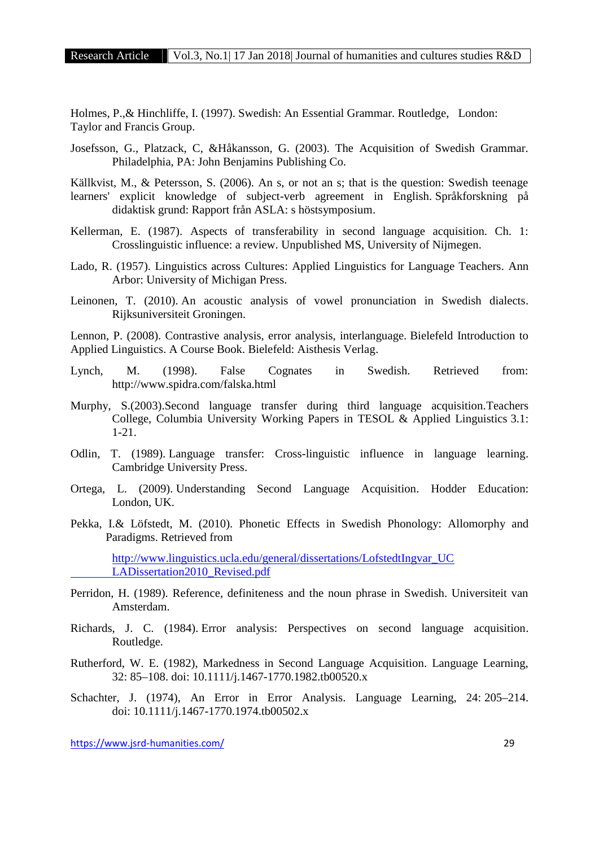Holmes, P.,& Hinchliffe, I. (1997). Swedish: An Essential Grammar. Routledge, London: Taylor and Francis Group.

Josefsson, G., Platzack, C, &Håkansson, G. (2003). The Acquisition of Swedish Grammar. Philadelphia, PA: John Benjamins Publishing Co.

Källkvist, M., & Petersson, S. (2006). An s, or not an s; that is the question: Swedish teenage learners' explicit knowledge of subject-verb agreement in English. Språkforskning på didaktisk grund: Rapport från ASLA: s höstsymposium.

- Kellerman, E. (1987). Aspects of transferability in second language acquisition. Ch. 1: Crosslinguistic influence: a review. Unpublished MS, University of Nijmegen.
- Lado, R. (1957). Linguistics across Cultures: Applied Linguistics for Language Teachers. Ann Arbor: University of Michigan Press.
- Leinonen, T. (2010). An acoustic analysis of vowel pronunciation in Swedish dialects. Rijksuniversiteit Groningen.

Lennon, P. (2008). Contrastive analysis, error analysis, interlanguage. Bielefeld Introduction to Applied Linguistics. A Course Book. Bielefeld: Aisthesis Verlag.

- Lynch, M. (1998). False Cognates in Swedish. Retrieved from: http://www.spidra.com/falska.html
- Murphy, S.(2003).Second language transfer during third language acquisition.Teachers College, Columbia University Working Papers in TESOL & Applied Linguistics 3.1: 1-21.
- Odlin, T. (1989). Language transfer: Cross-linguistic influence in language learning. Cambridge University Press.
- Ortega, L. (2009). Understanding Second Language Acquisition. Hodder Education: London, UK.
- Pekka, I.& Löfstedt, M. (2010). Phonetic Effects in Swedish Phonology: Allomorphy and Paradigms. Retrieved from

http://www.linguistics.ucla.edu/general/dissertations/LofstedtIngvar\_UC LADissertation2010\_Revised.pdf

- Perridon, H. (1989). Reference, definiteness and the noun phrase in Swedish. Universiteit van Amsterdam.
- Richards, J. C. (1984). Error analysis: Perspectives on second language acquisition. Routledge.
- Rutherford, W. E. (1982), Markedness in Second Language Acquisition. Language Learning, 32: 85–108. doi: 10.1111/j.1467-1770.1982.tb00520.x
- Schachter, J. (1974), An Error in Error Analysis. Language Learning, 24: 205–214. doi: 10.1111/j.1467-1770.1974.tb00502.x